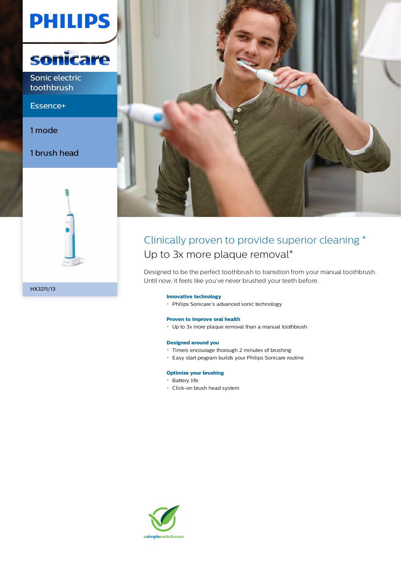# **PHILIPS**



Sonic electric toothbrush

Essence+

1 mode

HX3211/13

1 brush head



### Clinically proven to provide superior cleaning \* Up to 3x more plaque removal\*

Designed to be the perfect toothbrush to transition from your manual toothbrush. Until now, it feels like you've never brushed your teeth before.

#### **Innovative technology**

Philips Sonicare's advanced sonic technology

#### **Proven to improve oral health**

Up to 3x more plaque removal than a manual toothbrush

#### **Designed around you**

- Timers encourage thorough 2 minutes of brushing
- Easy start program builds your Philips Sonicare routine

#### **Optimize your brushing**

- · Battery life
- Click-on brush head system